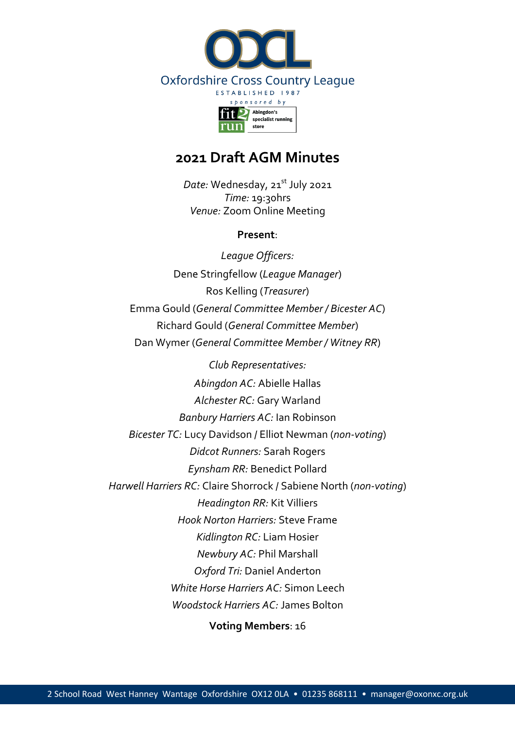

# **2021 Draft AGM Minutes**

*Date:* Wednesday, 21<sup>st</sup> July 2021 *Time:* 19:30hrs *Venue:* Zoom Online Meeting

#### **Present**:

*League Officers:* Dene Stringfellow (*League Manager*) Ros Kelling (*Treasurer*) Emma Gould (*General Committee Member / Bicester AC*) Richard Gould (*General Committee Member*) Dan Wymer (*General Committee Member / Witney RR*)

*Club Representatives: Abingdon AC:* Abielle Hallas *Alchester RC:* Gary Warland *Banbury Harriers AC:* Ian Robinson *Bicester TC:* Lucy Davidson / Elliot Newman (*non-voting*) *Didcot Runners:* Sarah Rogers *Eynsham RR:* Benedict Pollard *Harwell Harriers RC:* Claire Shorrock / Sabiene North (*non-voting*) *Headington RR:* Kit Villiers *Hook Norton Harriers:* Steve Frame *Kidlington RC:* Liam Hosier *Newbury AC:* Phil Marshall *Oxford Tri:* Daniel Anderton *White Horse Harriers AC:* Simon Leech *Woodstock Harriers AC:* James Bolton

**Voting Members**: 16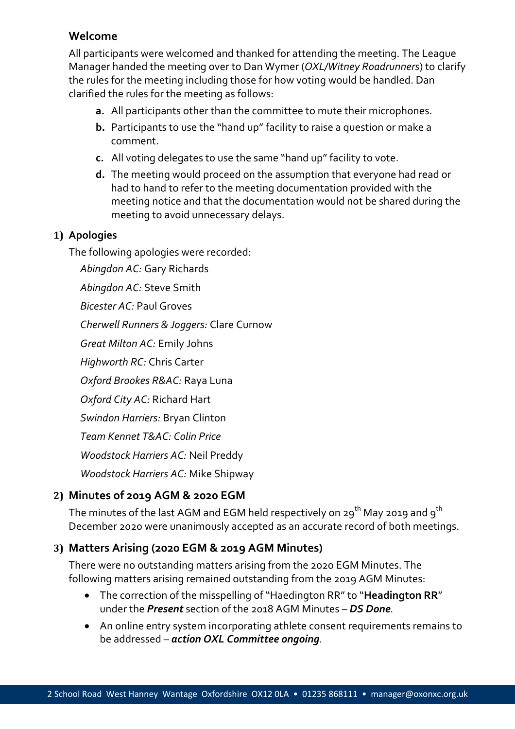### **Welcome**

All participants were welcomed and thanked for attending the meeting. The League Manager handed the meeting over to Dan Wymer (*OXL/Witney Roadrunners*) to clarify the rules for the meeting including those for how voting would be handled. Dan clarified the rules for the meeting as follows:

- **a.** All participants other than the committee to mute their microphones.
- **b.** Participants to use the "hand up" facility to raise a question or make a comment.
- **c.** All voting delegates to use the same "hand up" facility to vote.
- **d.** The meeting would proceed on the assumption that everyone had read or had to hand to refer to the meeting documentation provided with the meeting notice and that the documentation would not be shared during the meeting to avoid unnecessary delays.

#### **1) Apologies**

The following apologies were recorded:

*Abingdon AC:* Gary Richards

*Abingdon AC:* Steve Smith

*Bicester AC:* Paul Groves

*Cherwell Runners & Joggers:* Clare Curnow

*Great Milton AC:* Emily Johns

*Highworth RC:* Chris Carter

*Oxford Brookes R&AC:* Raya Luna

*Oxford City AC:* Richard Hart

*Swindon Harriers:* Bryan Clinton

*Team Kennet T&AC: Colin Price*

*Woodstock Harriers AC:* Neil Preddy

*Woodstock Harriers AC:* Mike Shipway

# **2) Minutes of 2019 AGM & 2020 EGM**

The minutes of the last AGM and EGM held respectively on 29<sup>th</sup> May 2019 and 9<sup>th</sup> December 2020 were unanimously accepted as an accurate record of both meetings.

# **3) Matters Arising (2020 EGM & 2019 AGM Minutes)**

There were no outstanding matters arising from the 2020 EGM Minutes. The following matters arising remained outstanding from the 2019 AGM Minutes:

- The correction of the misspelling of "Haedington RR" to "**Headington RR**" under the *Present* section of the 2018 AGM Minutes – *DS Done.*
- An online entry system incorporating athlete consent requirements remains to be addressed *– action OXL Committee ongoing.*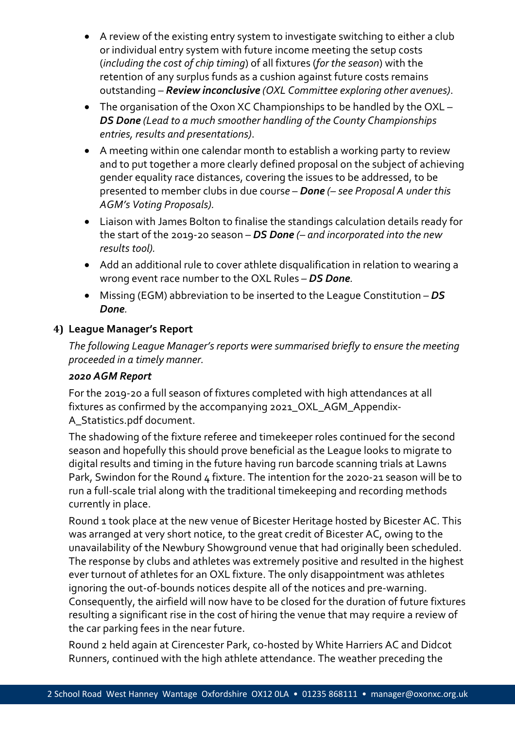- A review of the existing entry system to investigate switching to either a club or individual entry system with future income meeting the setup costs (*including the cost of chip timing*) of all fixtures (*for the season*) with the retention of any surplus funds as a cushion against future costs remains outstanding *– Review inconclusive (OXL Committee exploring other avenues)*.
- The organisation of the Oxon XC Championships to be handled by the OXL *– DS Done (Lead to a much smoother handling of the County Championships entries, results and presentations)*.
- A meeting within one calendar month to establish a working party to review and to put together a more clearly defined proposal on the subject of achieving gender equality race distances, covering the issues to be addressed, to be presented to member clubs in due cours*e* – *Done (– see Proposal A under this AGM's Voting Proposals).*
- Liaison with James Bolton to finalise the standings calculation details ready for the start of the 2019-20 season *– DS Done (– and incorporated into the new results tool).*
- Add an additional rule to cover athlete disqualification in relation to wearing a wrong event race number to the OXL Rules *– DS Done.*
- Missing (EGM) abbreviation to be inserted to the League Constitution *– DS Done.*

## **4) League Manager's Report**

*The following League Manager's reports were summarised briefly to ensure the meeting proceeded in a timely manner.*

## *2020 AGM Report*

For the 2019-20 a full season of fixtures completed with high attendances at all fixtures as confirmed by the accompanying 2021\_OXL\_AGM\_Appendix-A\_Statistics.pdf document.

The shadowing of the fixture referee and timekeeper roles continued for the second season and hopefully this should prove beneficial as the League looks to migrate to digital results and timing in the future having run barcode scanning trials at Lawns Park, Swindon for the Round 4 fixture. The intention for the 2020-21 season will be to run a full-scale trial along with the traditional timekeeping and recording methods currently in place.

Round 1 took place at the new venue of Bicester Heritage hosted by Bicester AC. This was arranged at very short notice, to the great credit of Bicester AC, owing to the unavailability of the Newbury Showground venue that had originally been scheduled. The response by clubs and athletes was extremely positive and resulted in the highest ever turnout of athletes for an OXL fixture. The only disappointment was athletes ignoring the out-of-bounds notices despite all of the notices and pre-warning. Consequently, the airfield will now have to be closed for the duration of future fixtures resulting a significant rise in the cost of hiring the venue that may require a review of the car parking fees in the near future.

Round 2 held again at Cirencester Park, co-hosted by White Harriers AC and Didcot Runners, continued with the high athlete attendance. The weather preceding the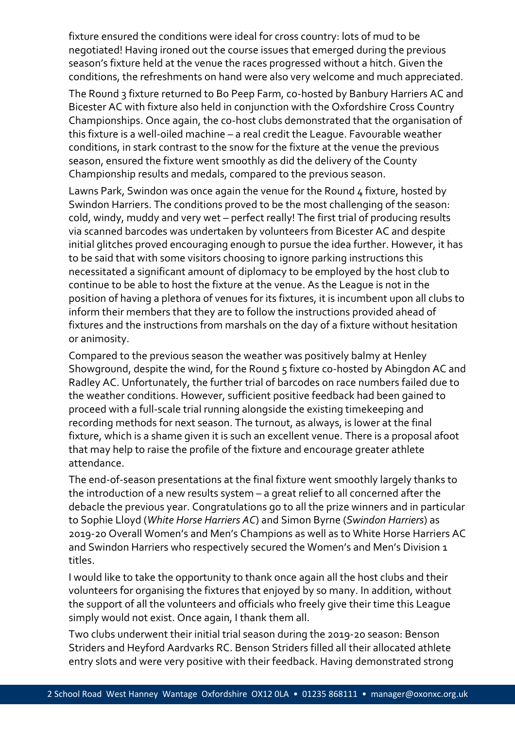fixture ensured the conditions were ideal for cross country: lots of mud to be negotiated! Having ironed out the course issues that emerged during the previous season's fixture held at the venue the races progressed without a hitch. Given the conditions, the refreshments on hand were also very welcome and much appreciated.

The Round 3 fixture returned to Bo Peep Farm, co-hosted by Banbury Harriers AC and Bicester AC with fixture also held in conjunction with the Oxfordshire Cross Country Championships. Once again, the co-host clubs demonstrated that the organisation of this fixture is a well-oiled machine – a real credit the League. Favourable weather conditions, in stark contrast to the snow for the fixture at the venue the previous season, ensured the fixture went smoothly as did the delivery of the County Championship results and medals, compared to the previous season.

Lawns Park, Swindon was once again the venue for the Round 4 fixture, hosted by Swindon Harriers. The conditions proved to be the most challenging of the season: cold, windy, muddy and very wet – perfect really! The first trial of producing results via scanned barcodes was undertaken by volunteers from Bicester AC and despite initial glitches proved encouraging enough to pursue the idea further. However, it has to be said that with some visitors choosing to ignore parking instructions this necessitated a significant amount of diplomacy to be employed by the host club to continue to be able to host the fixture at the venue. As the League is not in the position of having a plethora of venues for its fixtures, it is incumbent upon all clubs to inform their members that they are to follow the instructions provided ahead of fixtures and the instructions from marshals on the day of a fixture without hesitation or animosity.

Compared to the previous season the weather was positively balmy at Henley Showground, despite the wind, for the Round 5 fixture co-hosted by Abingdon AC and Radley AC. Unfortunately, the further trial of barcodes on race numbers failed due to the weather conditions. However, sufficient positive feedback had been gained to proceed with a full-scale trial running alongside the existing timekeeping and recording methods for next season. The turnout, as always, is lower at the final fixture, which is a shame given it is such an excellent venue. There is a proposal afoot that may help to raise the profile of the fixture and encourage greater athlete attendance.

The end-of-season presentations at the final fixture went smoothly largely thanks to the introduction of a new results system – a great relief to all concerned after the debacle the previous year. Congratulations go to all the prize winners and in particular to Sophie Lloyd (*White Horse Harriers AC*) and Simon Byrne (*Swindon Harriers*) as 2019-20 Overall Women's and Men's Champions as well as to White Horse Harriers AC and Swindon Harriers who respectively secured the Women's and Men's Division 1 titles.

I would like to take the opportunity to thank once again all the host clubs and their volunteers for organising the fixtures that enjoyed by so many. In addition, without the support of all the volunteers and officials who freely give their time this League simply would not exist. Once again, I thank them all.

Two clubs underwent their initial trial season during the 2019-20 season: Benson Striders and Heyford Aardvarks RC. Benson Striders filled all their allocated athlete entry slots and were very positive with their feedback. Having demonstrated strong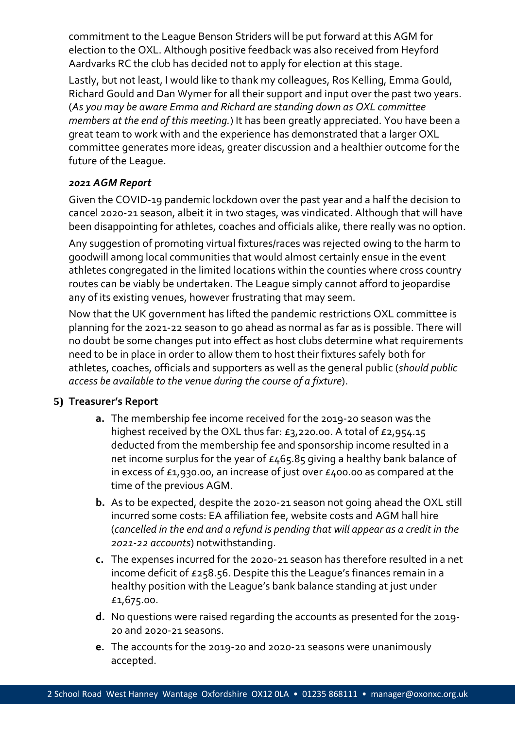commitment to the League Benson Striders will be put forward at this AGM for election to the OXL. Although positive feedback was also received from Heyford Aardvarks RC the club has decided not to apply for election at this stage.

Lastly, but not least, I would like to thank my colleagues, Ros Kelling, Emma Gould, Richard Gould and Dan Wymer for all their support and input over the past two years. (*As you may be aware Emma and Richard are standing down as OXL committee members at the end of this meeting.*) It has been greatly appreciated. You have been a great team to work with and the experience has demonstrated that a larger OXL committee generates more ideas, greater discussion and a healthier outcome for the future of the League.

#### *2021 AGM Report*

Given the COVID-19 pandemic lockdown over the past year and a half the decision to cancel 2020-21 season, albeit it in two stages, was vindicated. Although that will have been disappointing for athletes, coaches and officials alike, there really was no option.

Any suggestion of promoting virtual fixtures/races was rejected owing to the harm to goodwill among local communities that would almost certainly ensue in the event athletes congregated in the limited locations within the counties where cross country routes can be viably be undertaken. The League simply cannot afford to jeopardise any of its existing venues, however frustrating that may seem.

Now that the UK government has lifted the pandemic restrictions OXL committee is planning for the 2021-22 season to go ahead as normal as far as is possible. There will no doubt be some changes put into effect as host clubs determine what requirements need to be in place in order to allow them to host their fixtures safely both for athletes, coaches, officials and supporters as well as the general public (*should public access be available to the venue during the course of a fixture*).

## **5) Treasurer's Report**

- **a.** The membership fee income received for the 2019-20 season was the highest received by the OXL thus far: £3,220.00. A total of £2,954.15 deducted from the membership fee and sponsorship income resulted in a net income surplus for the year of £465.85 giving a healthy bank balance of in excess of £1,930.00, an increase of just over £400.00 as compared at the time of the previous AGM.
- **b.** As to be expected, despite the 2020-21 season not going ahead the OXL still incurred some costs: EA affiliation fee, website costs and AGM hall hire (*cancelled in the end and a refund is pending that will appear as a credit in the 2021-22 accounts*) notwithstanding.
- **c.** The expenses incurred for the 2020-21 season has therefore resulted in a net income deficit of £258.56. Despite this the League's finances remain in a healthy position with the League's bank balance standing at just under £1,675.00.
- **d.** No questions were raised regarding the accounts as presented for the 2019- 20 and 2020-21 seasons.
- **e.** The accounts for the 2019-20 and 2020-21 seasons were unanimously accepted.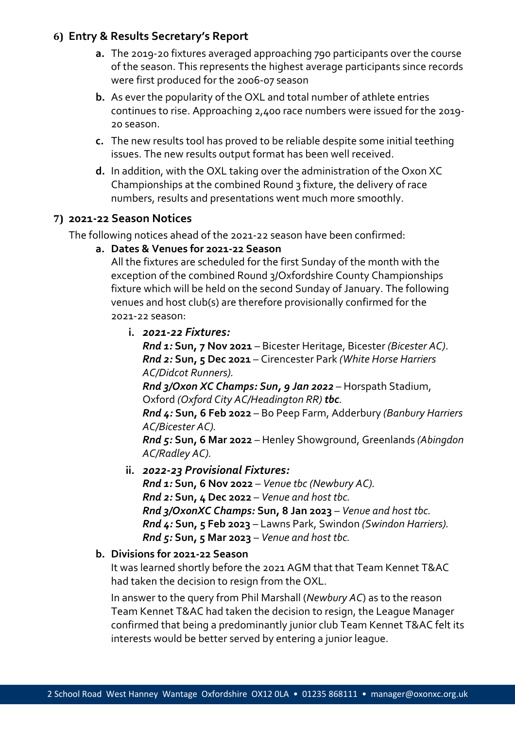## **6) Entry & Results Secretary's Report**

- **a.** The 2019-20 fixtures averaged approaching 790 participants over the course of the season. This represents the highest average participants since records were first produced for the 2006-07 season
- **b.** As ever the popularity of the OXL and total number of athlete entries continues to rise. Approaching 2,400 race numbers were issued for the 2019- 20 season.
- **c.** The new results tool has proved to be reliable despite some initial teething issues. The new results output format has been well received.
- **d.** In addition, with the OXL taking over the administration of the Oxon XC Championships at the combined Round 3 fixture, the delivery of race numbers, results and presentations went much more smoothly.

# **7) 2021-22 Season Notices**

The following notices ahead of the 2021-22 season have been confirmed:

#### **a. Dates & Venues for 2021-22 Season**

All the fixtures are scheduled for the first Sunday of the month with the exception of the combined Round 3/Oxfordshire County Championships fixture which will be held on the second Sunday of January. The following venues and host club(s) are therefore provisionally confirmed for the 2021-22 season:

**i.** *2021-22 Fixtures:*

*Rnd 1:* **Sun, 7 Nov 2021** – Bicester Heritage, Bicester *(Bicester AC)*. *Rnd 2:* **Sun, 5 Dec 2021** – Cirencester Park *(White Horse Harriers AC/Didcot Runners).*

*Rnd 3/Oxon XC Champs: Sun, 9 Jan 2022* – Horspath Stadium, Oxford *(Oxford City AC/Headington RR) tbc.*

*Rnd 4:* **Sun, 6 Feb 2022** – Bo Peep Farm, Adderbury *(Banbury Harriers AC/Bicester AC).*

*Rnd 5:* **Sun, 6 Mar 2022** – Henley Showground, Greenlands *(Abingdon AC/Radley AC).*

**ii.** *2022-23 Provisional Fixtures:*

*Rnd 1:* **Sun, 6 Nov 2022** – *Venue tbc (Newbury AC). Rnd 2:* **Sun, 4 Dec 2022** – *Venue and host tbc. Rnd 3/OxonXC Champs:* **Sun, 8 Jan 2023** – *Venue and host tbc. Rnd 4:* **Sun, 5 Feb 2023** – Lawns Park, Swindon *(Swindon Harriers). Rnd 5:* **Sun, 5 Mar 2023** – *Venue and host tbc.*

## **b. Divisions for 2021-22 Season**

It was learned shortly before the 2021 AGM that that Team Kennet T&AC had taken the decision to resign from the OXL.

In answer to the query from Phil Marshall (*Newbury AC*) as to the reason Team Kennet T&AC had taken the decision to resign, the League Manager confirmed that being a predominantly junior club Team Kennet T&AC felt its interests would be better served by entering a junior league.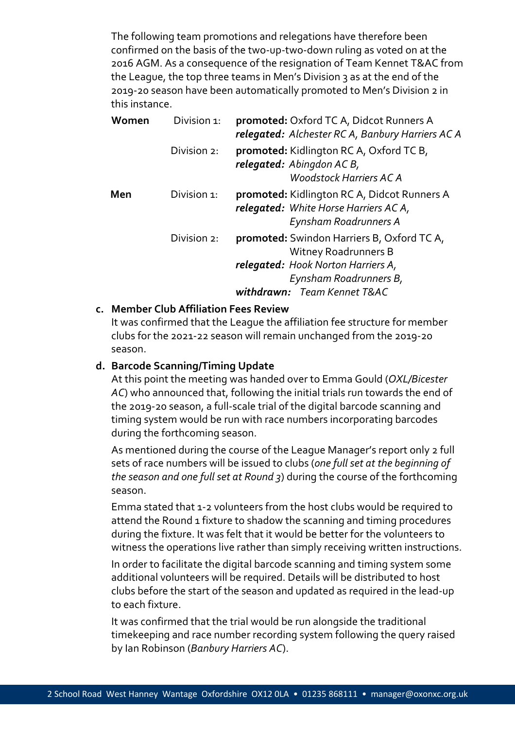The following team promotions and relegations have therefore been confirmed on the basis of the two-up-two-down ruling as voted on at the 2016 AGM. As a consequence of the resignation of Team Kennet T&AC from the League, the top three teams in Men's Division 3 as at the end of the 2019-20 season have been automatically promoted to Men's Division 2 in this instance.

| Women | Division 1: | promoted: Oxford TC A, Didcot Runners A<br>relegated: Alchester RC A, Banbury Harriers AC A                                                      |
|-------|-------------|--------------------------------------------------------------------------------------------------------------------------------------------------|
|       | Division 2: | <b>promoted:</b> Kidlington RC A, Oxford TC B,<br>relegated: Abingdon AC B,<br><b>Woodstock Harriers AC A</b>                                    |
| Men   | Division 1: | <b>promoted:</b> Kidlington RC A, Didcot Runners A<br>relegated: White Horse Harriers AC A,<br>Eynsham Roadrunners A                             |
|       | Division 2: | <b>promoted:</b> Swindon Harriers B, Oxford TC A,<br><b>Witney Roadrunners B</b><br>relegated: Hook Norton Harriers A,<br>Eynsham Roadrunners B, |
|       |             | withdrawn: Team Kennet T&AC                                                                                                                      |

#### **c. Member Club Affiliation Fees Review**

It was confirmed that the League the affiliation fee structure for member clubs for the 2021-22 season will remain unchanged from the 2019-20 season.

#### **d. Barcode Scanning/Timing Update**

At this point the meeting was handed over to Emma Gould (*OXL/Bicester AC*) who announced that, following the initial trials run towards the end of the 2019-20 season, a full-scale trial of the digital barcode scanning and timing system would be run with race numbers incorporating barcodes during the forthcoming season.

As mentioned during the course of the League Manager's report only 2 full sets of race numbers will be issued to clubs (*one full set at the beginning of the season and one full set at Round 3*) during the course of the forthcoming season.

Emma stated that 1-2 volunteers from the host clubs would be required to attend the Round 1 fixture to shadow the scanning and timing procedures during the fixture. It was felt that it would be better for the volunteers to witness the operations live rather than simply receiving written instructions.

In order to facilitate the digital barcode scanning and timing system some additional volunteers will be required. Details will be distributed to host clubs before the start of the season and updated as required in the lead-up to each fixture.

It was confirmed that the trial would be run alongside the traditional timekeeping and race number recording system following the query raised by Ian Robinson (*Banbury Harriers AC*).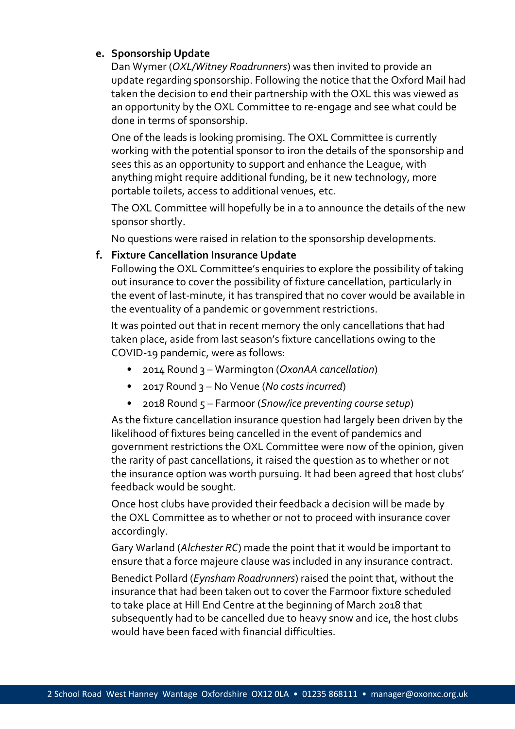#### **e. Sponsorship Update**

Dan Wymer (*OXL/Witney Roadrunners*) was then invited to provide an update regarding sponsorship. Following the notice that the Oxford Mail had taken the decision to end their partnership with the OXL this was viewed as an opportunity by the OXL Committee to re-engage and see what could be done in terms of sponsorship.

One of the leads is looking promising. The OXL Committee is currently working with the potential sponsor to iron the details of the sponsorship and sees this as an opportunity to support and enhance the League, with anything might require additional funding, be it new technology, more portable toilets, access to additional venues, etc.

The OXL Committee will hopefully be in a to announce the details of the new sponsor shortly.

No questions were raised in relation to the sponsorship developments.

#### **f. Fixture Cancellation Insurance Update**

Following the OXL Committee's enquiries to explore the possibility of taking out insurance to cover the possibility of fixture cancellation, particularly in the event of last-minute, it has transpired that no cover would be available in the eventuality of a pandemic or government restrictions.

It was pointed out that in recent memory the only cancellations that had taken place, aside from last season's fixture cancellations owing to the COVID-19 pandemic, were as follows:

- 2014 Round 3 Warmington (*OxonAA cancellation*)
- 2017 Round 3 No Venue (*No costs incurred*)
- 2018 Round 5 Farmoor (*Snow/ice preventing course setup*)

As the fixture cancellation insurance question had largely been driven by the likelihood of fixtures being cancelled in the event of pandemics and government restrictions the OXL Committee were now of the opinion, given the rarity of past cancellations, it raised the question as to whether or not the insurance option was worth pursuing. It had been agreed that host clubs' feedback would be sought.

Once host clubs have provided their feedback a decision will be made by the OXL Committee as to whether or not to proceed with insurance cover accordingly.

Gary Warland (*Alchester RC*) made the point that it would be important to ensure that a force majeure clause was included in any insurance contract.

Benedict Pollard (*Eynsham Roadrunners*) raised the point that, without the insurance that had been taken out to cover the Farmoor fixture scheduled to take place at Hill End Centre at the beginning of March 2018 that subsequently had to be cancelled due to heavy snow and ice, the host clubs would have been faced with financial difficulties.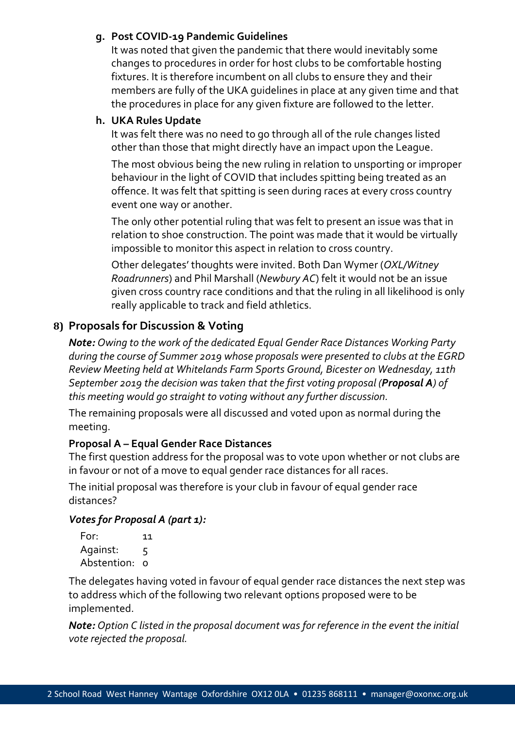#### **g. Post COVID-19 Pandemic Guidelines**

It was noted that given the pandemic that there would inevitably some changes to procedures in order for host clubs to be comfortable hosting fixtures. It is therefore incumbent on all clubs to ensure they and their members are fully of the UKA guidelines in place at any given time and that the procedures in place for any given fixture are followed to the letter.

## **h. UKA Rules Update**

It was felt there was no need to go through all of the rule changes listed other than those that might directly have an impact upon the League.

The most obvious being the new ruling in relation to unsporting or improper behaviour in the light of COVID that includes spitting being treated as an offence. It was felt that spitting is seen during races at every cross country event one way or another.

The only other potential ruling that was felt to present an issue was that in relation to shoe construction. The point was made that it would be virtually impossible to monitor this aspect in relation to cross country.

Other delegates' thoughts were invited. Both Dan Wymer (*OXL/Witney Roadrunners*) and Phil Marshall (*Newbury AC*) felt it would not be an issue given cross country race conditions and that the ruling in all likelihood is only really applicable to track and field athletics.

# **8) Proposals for Discussion & Voting**

*Note: Owing to the work of the dedicated Equal Gender Race Distances Working Party during the course of Summer 2019 whose proposals were presented to clubs at the EGRD Review Meeting held at Whitelands Farm Sports Ground, Bicester on Wednesday, 11th September 2019 the decision was taken that the first voting proposal (Proposal A) of this meeting would go straight to voting without any further discussion.* 

The remaining proposals were all discussed and voted upon as normal during the meeting.

# **Proposal A – Equal Gender Race Distances**

The first question address for the proposal was to vote upon whether or not clubs are in favour or not of a move to equal gender race distances for all races.

The initial proposal was therefore is your club in favour of equal gender race distances?

## *Votes for Proposal A (part 1):*

| For:          | 11 |
|---------------|----|
| Against:      | 5  |
| Abstention: o |    |

The delegates having voted in favour of equal gender race distances the next step was to address which of the following two relevant options proposed were to be implemented.

*Note: Option C listed in the proposal document was for reference in the event the initial vote rejected the proposal.*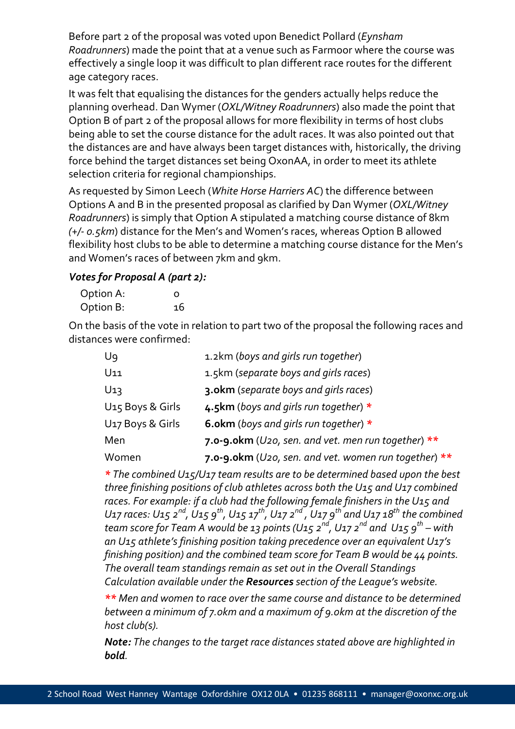Before part 2 of the proposal was voted upon Benedict Pollard (*Eynsham Roadrunners*) made the point that at a venue such as Farmoor where the course was effectively a single loop it was difficult to plan different race routes for the different age category races.

It was felt that equalising the distances for the genders actually helps reduce the planning overhead. Dan Wymer (*OXL/Witney Roadrunners*) also made the point that Option B of part 2 of the proposal allows for more flexibility in terms of host clubs being able to set the course distance for the adult races. It was also pointed out that the distances are and have always been target distances with, historically, the driving force behind the target distances set being OxonAA, in order to meet its athlete selection criteria for regional championships.

As requested by Simon Leech (*White Horse Harriers AC*) the difference between Options A and B in the presented proposal as clarified by Dan Wymer (*OXL/Witney Roadrunners*) is simply that Option A stipulated a matching course distance of 8km *(+/- 0.5km*) distance for the Men's and Women's races, whereas Option B allowed flexibility host clubs to be able to determine a matching course distance for the Men's and Women's races of between 7km and 9km.

#### *Votes for Proposal A (part 2):*

| Option A: | O  |
|-----------|----|
| Option B: | 16 |

On the basis of the vote in relation to part two of the proposal the following races and distances were confirmed:

| Ug               | 1.2km (boys and girls run together)                      |
|------------------|----------------------------------------------------------|
| U11              | 1.5km (separate boys and girls races)                    |
| U1ว              | 3.okm (separate boys and girls races)                    |
| U15 Boys & Girls | 4.5km (boys and girls run together) *                    |
| U17 Boys & Girls | 6.okm (boys and girls run together) $*$                  |
| Men              | 7.0-9.0km (U20, sen. and vet. men run together) $**$     |
| Women            | 7.0-9.0km ( $U$ 20, sen. and vet. women run together) ** |

*\* The combined U15/U17 team results are to be determined based upon the best three finishing positions of club athletes across both the U15 and U17 combined*  races. For example: if a club had the following female finishers in the U<sub>15</sub> and *U17 races: U15 2nd, U15 9th, U15 17th, U17 2nd , U17 9th and U17 18th the combined team score for Team A would be 13 points (U15 2nd, U17 2nd and U15 9th – with an U15 athlete's finishing position taking precedence over an equivalent U17's finishing position) and the combined team score for Team B would be 44 points. The overall team standings remain as set out in the Overall Standings Calculation available under the Resources section of the League's website.*

*\*\* Men and women to race over the same course and distance to be determined between a minimum of 7.0km and a maximum of 9.0km at the discretion of the host club(s).*

*Note: The changes to the target race distances stated above are highlighted in bold.*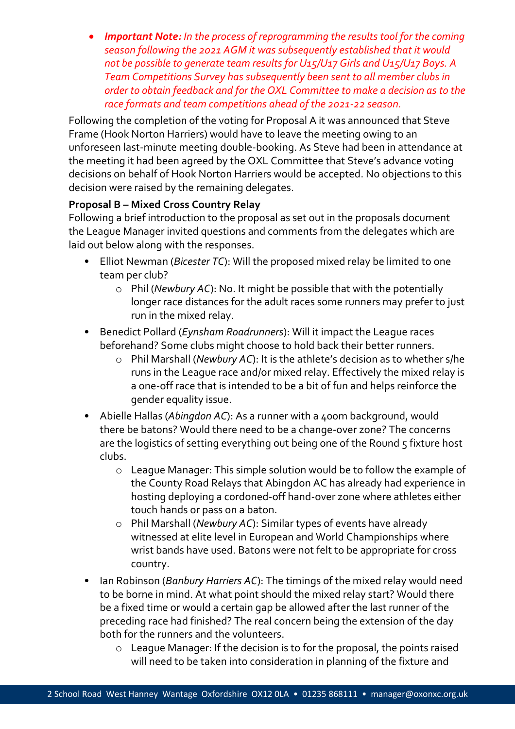• *Important Note: In the process of reprogramming the results tool for the coming season following the 2021 AGM it was subsequently established that it would not be possible to generate team results for U15/U17 Girls and U15/U17 Boys. A Team Competitions Survey has subsequently been sent to all member clubs in order to obtain feedback and for the OXL Committee to make a decision as to the race formats and team competitions ahead of the 2021-22 season.*

Following the completion of the voting for Proposal A it was announced that Steve Frame (Hook Norton Harriers) would have to leave the meeting owing to an unforeseen last-minute meeting double-booking. As Steve had been in attendance at the meeting it had been agreed by the OXL Committee that Steve's advance voting decisions on behalf of Hook Norton Harriers would be accepted. No objections to this decision were raised by the remaining delegates.

## **Proposal B – Mixed Cross Country Relay**

Following a brief introduction to the proposal as set out in the proposals document the League Manager invited questions and comments from the delegates which are laid out below along with the responses.

- Elliot Newman (*Bicester TC*): Will the proposed mixed relay be limited to one team per club?
	- o Phil (*Newbury AC*): No. It might be possible that with the potentially longer race distances for the adult races some runners may prefer to just run in the mixed relay.
- Benedict Pollard (*Eynsham Roadrunners*): Will it impact the League races beforehand? Some clubs might choose to hold back their better runners.
	- o Phil Marshall (*Newbury AC*): It is the athlete's decision as to whether s/he runs in the League race and/or mixed relay. Effectively the mixed relay is a one-off race that is intended to be a bit of fun and helps reinforce the gender equality issue.
- Abielle Hallas (Abingdon AC): As a runner with a 400m background, would there be batons? Would there need to be a change-over zone? The concerns are the logistics of setting everything out being one of the Round 5 fixture host clubs.
	- o League Manager: This simple solution would be to follow the example of the County Road Relays that Abingdon AC has already had experience in hosting deploying a cordoned-off hand-over zone where athletes either touch hands or pass on a baton.
	- o Phil Marshall (*Newbury AC*): Similar types of events have already witnessed at elite level in European and World Championships where wrist bands have used. Batons were not felt to be appropriate for cross country.
- Ian Robinson (*Banbury Harriers AC*): The timings of the mixed relay would need to be borne in mind. At what point should the mixed relay start? Would there be a fixed time or would a certain gap be allowed after the last runner of the preceding race had finished? The real concern being the extension of the day both for the runners and the volunteers.
	- o League Manager: If the decision is to for the proposal, the points raised will need to be taken into consideration in planning of the fixture and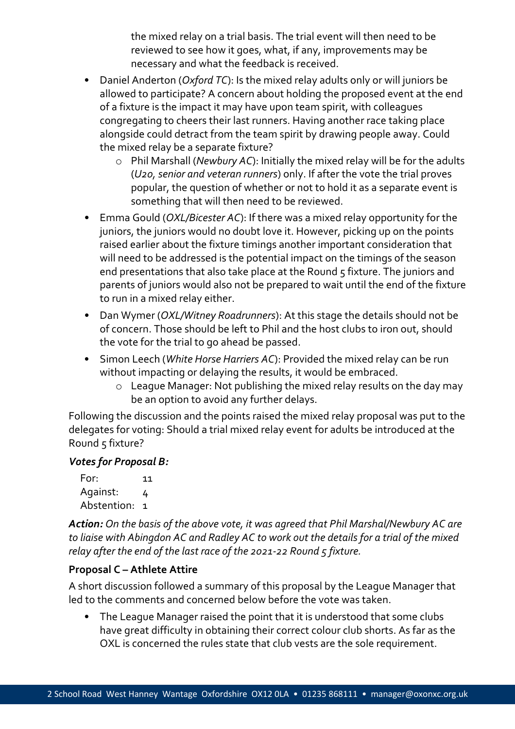the mixed relay on a trial basis. The trial event will then need to be reviewed to see how it goes, what, if any, improvements may be necessary and what the feedback is received.

- Daniel Anderton (*Oxford TC*): Is the mixed relay adults only or will juniors be allowed to participate? A concern about holding the proposed event at the end of a fixture is the impact it may have upon team spirit, with colleagues congregating to cheers their last runners. Having another race taking place alongside could detract from the team spirit by drawing people away. Could the mixed relay be a separate fixture?
	- o Phil Marshall (*Newbury AC*): Initially the mixed relay will be for the adults (*U20, senior and veteran runners*) only. If after the vote the trial proves popular, the question of whether or not to hold it as a separate event is something that will then need to be reviewed.
- Emma Gould (*OXL/Bicester AC*): If there was a mixed relay opportunity for the juniors, the juniors would no doubt love it. However, picking up on the points raised earlier about the fixture timings another important consideration that will need to be addressed is the potential impact on the timings of the season end presentations that also take place at the Round 5 fixture. The juniors and parents of juniors would also not be prepared to wait until the end of the fixture to run in a mixed relay either.
- Dan Wymer (*OXL/Witney Roadrunners*): At this stage the details should not be of concern. Those should be left to Phil and the host clubs to iron out, should the vote for the trial to go ahead be passed.
- Simon Leech (*White Horse Harriers AC*): Provided the mixed relay can be run without impacting or delaying the results, it would be embraced.
	- o League Manager: Not publishing the mixed relay results on the day may be an option to avoid any further delays.

Following the discussion and the points raised the mixed relay proposal was put to the delegates for voting: Should a trial mixed relay event for adults be introduced at the Round 5 fixture?

#### *Votes for Proposal B:*

For: 11 Against: 4 Abstention: 1

*Action: On the basis of the above vote, it was agreed that Phil Marshal/Newbury AC are to liaise with Abingdon AC and Radley AC to work out the details for a trial of the mixed relay after the end of the last race of the 2021-22 Round 5 fixture.*

## **Proposal C – Athlete Attire**

A short discussion followed a summary of this proposal by the League Manager that led to the comments and concerned below before the vote was taken.

• The League Manager raised the point that it is understood that some clubs have great difficulty in obtaining their correct colour club shorts. As far as the OXL is concerned the rules state that club vests are the sole requirement.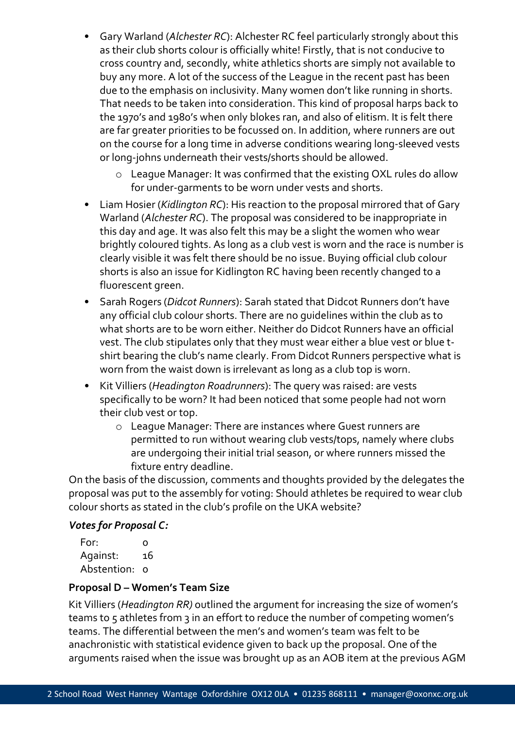- Gary Warland (*Alchester RC*): Alchester RC feel particularly strongly about this as their club shorts colour is officially white! Firstly, that is not conducive to cross country and, secondly, white athletics shorts are simply not available to buy any more. A lot of the success of the League in the recent past has been due to the emphasis on inclusivity. Many women don't like running in shorts. That needs to be taken into consideration. This kind of proposal harps back to the 1970's and 1980's when only blokes ran, and also of elitism. It is felt there are far greater priorities to be focussed on. In addition, where runners are out on the course for a long time in adverse conditions wearing long-sleeved vests or long-johns underneath their vests/shorts should be allowed.
	- o League Manager: It was confirmed that the existing OXL rules do allow for under-garments to be worn under vests and shorts.
- Liam Hosier (*Kidlington RC*): His reaction to the proposal mirrored that of Gary Warland (*Alchester RC*). The proposal was considered to be inappropriate in this day and age. It was also felt this may be a slight the women who wear brightly coloured tights. As long as a club vest is worn and the race is number is clearly visible it was felt there should be no issue. Buying official club colour shorts is also an issue for Kidlington RC having been recently changed to a fluorescent green.
- Sarah Rogers (*Didcot Runners*): Sarah stated that Didcot Runners don't have any official club colour shorts. There are no guidelines within the club as to what shorts are to be worn either. Neither do Didcot Runners have an official vest. The club stipulates only that they must wear either a blue vest or blue tshirt bearing the club's name clearly. From Didcot Runners perspective what is worn from the waist down is irrelevant as long as a club top is worn.
- Kit Villiers (*Headington Roadrunners*): The query was raised: are vests specifically to be worn? It had been noticed that some people had not worn their club vest or top.
	- o League Manager: There are instances where Guest runners are permitted to run without wearing club vests/tops, namely where clubs are undergoing their initial trial season, or where runners missed the fixture entry deadline.

On the basis of the discussion, comments and thoughts provided by the delegates the proposal was put to the assembly for voting: Should athletes be required to wear club colour shorts as stated in the club's profile on the UKA website?

#### *Votes for Proposal C:*

| For:          | Ω  |
|---------------|----|
| Against:      | 16 |
| Abstention: o |    |

#### **Proposal D – Women's Team Size**

Kit Villiers (*Headington RR)* outlined the argument for increasing the size of women's teams to 5 athletes from 3 in an effort to reduce the number of competing women's teams. The differential between the men's and women's team was felt to be anachronistic with statistical evidence given to back up the proposal. One of the arguments raised when the issue was brought up as an AOB item at the previous AGM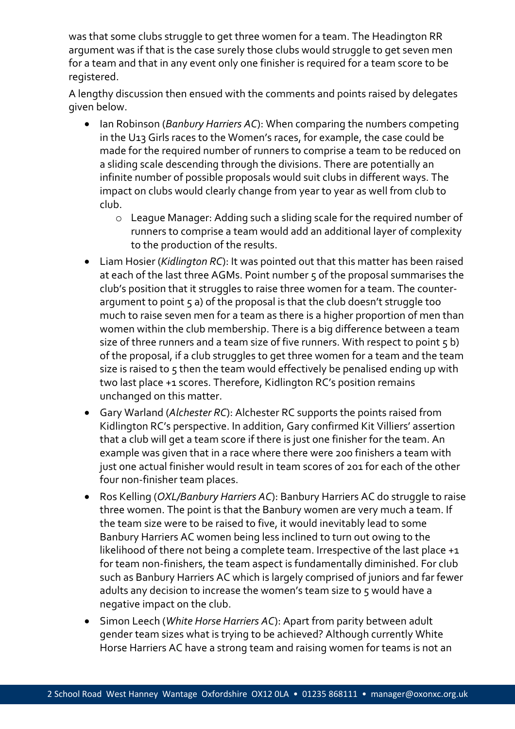was that some clubs struggle to get three women for a team. The Headington RR argument was if that is the case surely those clubs would struggle to get seven men for a team and that in any event only one finisher is required for a team score to be registered.

A lengthy discussion then ensued with the comments and points raised by delegates given below.

- Ian Robinson (*Banbury Harriers AC*): When comparing the numbers competing in the U13 Girls races to the Women's races, for example, the case could be made for the required number of runners to comprise a team to be reduced on a sliding scale descending through the divisions. There are potentially an infinite number of possible proposals would suit clubs in different ways. The impact on clubs would clearly change from year to year as well from club to club.
	- o League Manager: Adding such a sliding scale for the required number of runners to comprise a team would add an additional layer of complexity to the production of the results.
- Liam Hosier (*Kidlington RC*): It was pointed out that this matter has been raised at each of the last three AGMs. Point number 5 of the proposal summarises the club's position that it struggles to raise three women for a team. The counterargument to point 5 a) of the proposal is that the club doesn't struggle too much to raise seven men for a team as there is a higher proportion of men than women within the club membership. There is a big difference between a team size of three runners and a team size of five runners. With respect to point  $\varsigma$  b) of the proposal, if a club struggles to get three women for a team and the team size is raised to 5 then the team would effectively be penalised ending up with two last place +1 scores. Therefore, Kidlington RC's position remains unchanged on this matter.
- Gary Warland (*Alchester RC*): Alchester RC supports the points raised from Kidlington RC's perspective. In addition, Gary confirmed Kit Villiers' assertion that a club will get a team score if there is just one finisher for the team. An example was given that in a race where there were 200 finishers a team with just one actual finisher would result in team scores of 201 for each of the other four non-finisher team places.
- Ros Kelling (*OXL/Banbury Harriers AC*): Banbury Harriers AC do struggle to raise three women. The point is that the Banbury women are very much a team. If the team size were to be raised to five, it would inevitably lead to some Banbury Harriers AC women being less inclined to turn out owing to the likelihood of there not being a complete team. Irrespective of the last place +1 for team non-finishers, the team aspect is fundamentally diminished. For club such as Banbury Harriers AC which is largely comprised of juniors and far fewer adults any decision to increase the women's team size to 5 would have a negative impact on the club.
- Simon Leech (*White Horse Harriers AC*): Apart from parity between adult gender team sizes what is trying to be achieved? Although currently White Horse Harriers AC have a strong team and raising women for teams is not an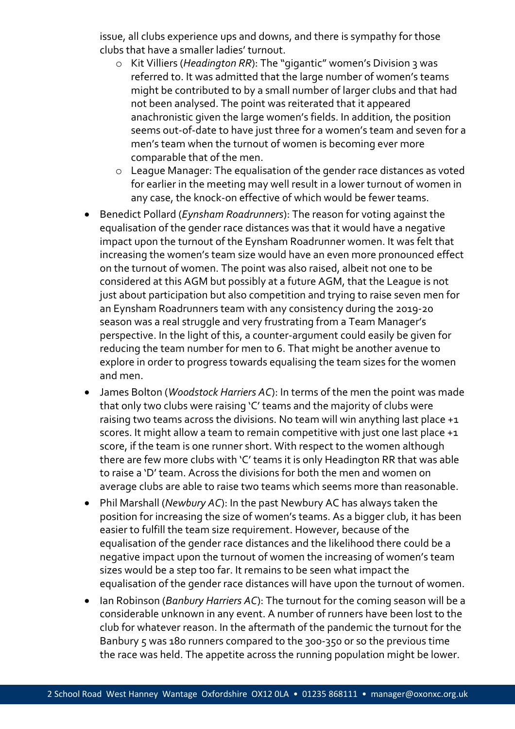issue, all clubs experience ups and downs, and there is sympathy for those clubs that have a smaller ladies' turnout.

- o Kit Villiers (*Headington RR*): The "gigantic" women's Division 3 was referred to. It was admitted that the large number of women's teams might be contributed to by a small number of larger clubs and that had not been analysed. The point was reiterated that it appeared anachronistic given the large women's fields. In addition, the position seems out-of-date to have just three for a women's team and seven for a men's team when the turnout of women is becoming ever more comparable that of the men.
- o League Manager: The equalisation of the gender race distances as voted for earlier in the meeting may well result in a lower turnout of women in any case, the knock-on effective of which would be fewer teams.
- Benedict Pollard (*Eynsham Roadrunners*): The reason for voting against the equalisation of the gender race distances was that it would have a negative impact upon the turnout of the Eynsham Roadrunner women. It was felt that increasing the women's team size would have an even more pronounced effect on the turnout of women. The point was also raised, albeit not one to be considered at this AGM but possibly at a future AGM, that the League is not just about participation but also competition and trying to raise seven men for an Eynsham Roadrunners team with any consistency during the 2019-20 season was a real struggle and very frustrating from a Team Manager's perspective. In the light of this, a counter-argument could easily be given for reducing the team number for men to 6. That might be another avenue to explore in order to progress towards equalising the team sizes for the women and men.
- James Bolton (*Woodstock Harriers AC*): In terms of the men the point was made that only two clubs were raising 'C' teams and the majority of clubs were raising two teams across the divisions. No team will win anything last place +1 scores. It might allow a team to remain competitive with just one last place +1 score, if the team is one runner short. With respect to the women although there are few more clubs with 'C' teams it is only Headington RR that was able to raise a 'D' team. Across the divisions for both the men and women on average clubs are able to raise two teams which seems more than reasonable.
- Phil Marshall (*Newbury AC*): In the past Newbury AC has always taken the position for increasing the size of women's teams. As a bigger club, it has been easier to fulfill the team size requirement. However, because of the equalisation of the gender race distances and the likelihood there could be a negative impact upon the turnout of women the increasing of women's team sizes would be a step too far. It remains to be seen what impact the equalisation of the gender race distances will have upon the turnout of women.
- Ian Robinson (*Banbury Harriers AC*): The turnout for the coming season will be a considerable unknown in any event. A number of runners have been lost to the club for whatever reason. In the aftermath of the pandemic the turnout for the Banbury 5 was 18o runners compared to the 300-350 or so the previous time the race was held. The appetite across the running population might be lower.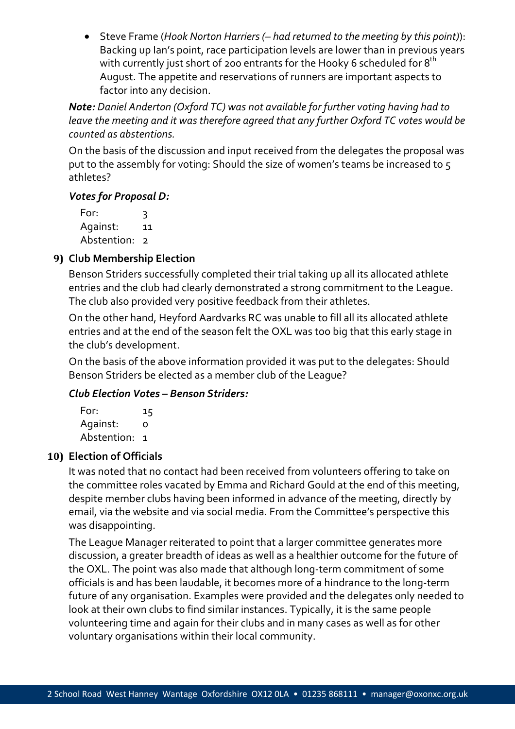• Steve Frame (*Hook Norton Harriers (– had returned to the meeting by this point)*): Backing up Ian's point, race participation levels are lower than in previous years with currently just short of 200 entrants for the Hooky 6 scheduled for  $8^{th}$ August. The appetite and reservations of runners are important aspects to factor into any decision.

*Note: Daniel Anderton (Oxford TC) was not available for further voting having had to leave the meeting and it was therefore agreed that any further Oxford TC votes would be counted as abstentions.*

On the basis of the discussion and input received from the delegates the proposal was put to the assembly for voting: Should the size of women's teams be increased to 5 athletes?

#### *Votes for Proposal D:*

For: 3 Against: 11 Abstention: 2

# **9) Club Membership Election**

Benson Striders successfully completed their trial taking up all its allocated athlete entries and the club had clearly demonstrated a strong commitment to the League. The club also provided very positive feedback from their athletes.

On the other hand, Heyford Aardvarks RC was unable to fill all its allocated athlete entries and at the end of the season felt the OXL was too big that this early stage in the club's development.

On the basis of the above information provided it was put to the delegates: Should Benson Striders be elected as a member club of the League?

## *Club Election Votes – Benson Striders:*

For: 15 Against: 0 Abstention: 1

## **10) Election of Officials**

It was noted that no contact had been received from volunteers offering to take on the committee roles vacated by Emma and Richard Gould at the end of this meeting, despite member clubs having been informed in advance of the meeting, directly by email, via the website and via social media. From the Committee's perspective this was disappointing.

The League Manager reiterated to point that a larger committee generates more discussion, a greater breadth of ideas as well as a healthier outcome for the future of the OXL. The point was also made that although long-term commitment of some officials is and has been laudable, it becomes more of a hindrance to the long-term future of any organisation. Examples were provided and the delegates only needed to look at their own clubs to find similar instances. Typically, it is the same people volunteering time and again for their clubs and in many cases as well as for other voluntary organisations within their local community.